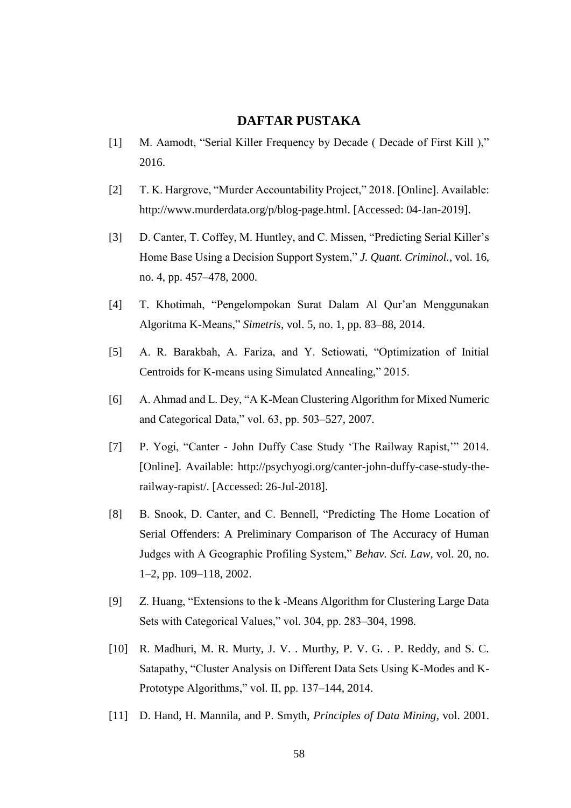## **DAFTAR PUSTAKA**

- [1] M. Aamodt, "Serial Killer Frequency by Decade ( Decade of First Kill )," 2016.
- [2] T. K. Hargrove, "Murder Accountability Project," 2018. [Online]. Available: http://www.murderdata.org/p/blog-page.html. [Accessed: 04-Jan-2019].
- [3] D. Canter, T. Coffey, M. Huntley, and C. Missen, "Predicting Serial Killer's Home Base Using a Decision Support System," *J. Quant. Criminol.*, vol. 16, no. 4, pp. 457–478, 2000.
- [4] T. Khotimah, "Pengelompokan Surat Dalam Al Qur'an Menggunakan Algoritma K-Means," *Simetris*, vol. 5, no. 1, pp. 83–88, 2014.
- [5] A. R. Barakbah, A. Fariza, and Y. Setiowati, "Optimization of Initial Centroids for K-means using Simulated Annealing," 2015.
- [6] A. Ahmad and L. Dey, "A K-Mean Clustering Algorithm for Mixed Numeric and Categorical Data," vol. 63, pp. 503–527, 2007.
- [7] P. Yogi, "Canter John Duffy Case Study 'The Railway Rapist,'" 2014. [Online]. Available: http://psychyogi.org/canter-john-duffy-case-study-therailway-rapist/. [Accessed: 26-Jul-2018].
- [8] B. Snook, D. Canter, and C. Bennell, "Predicting The Home Location of Serial Offenders: A Preliminary Comparison of The Accuracy of Human Judges with A Geographic Profiling System," *Behav. Sci. Law*, vol. 20, no. 1–2, pp. 109–118, 2002.
- [9] Z. Huang, "Extensions to the k -Means Algorithm for Clustering Large Data Sets with Categorical Values," vol. 304, pp. 283–304, 1998.
- [10] R. Madhuri, M. R. Murty, J. V. . Murthy, P. V. G. . P. Reddy, and S. C. Satapathy, "Cluster Analysis on Different Data Sets Using K-Modes and K-Prototype Algorithms," vol. II, pp. 137–144, 2014.
- [11] D. Hand, H. Mannila, and P. Smyth, *Principles of Data Mining*, vol. 2001.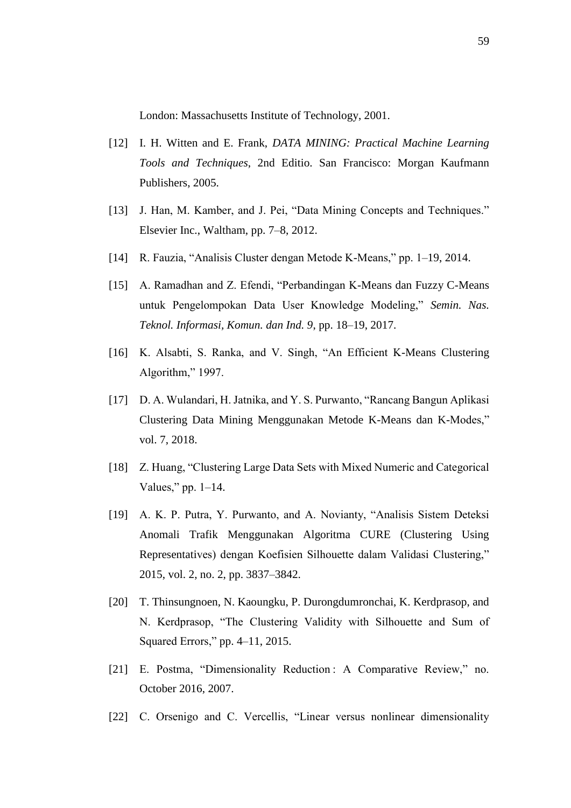London: Massachusetts Institute of Technology, 2001.

- [12] I. H. Witten and E. Frank, *DATA MINING: Practical Machine Learning Tools and Techniques*, 2nd Editio. San Francisco: Morgan Kaufmann Publishers, 2005.
- [13] J. Han, M. Kamber, and J. Pei, "Data Mining Concepts and Techniques." Elsevier Inc., Waltham, pp. 7–8, 2012.
- [14] R. Fauzia, "Analisis Cluster dengan Metode K-Means," pp. 1–19, 2014.
- [15] A. Ramadhan and Z. Efendi, "Perbandingan K-Means dan Fuzzy C-Means untuk Pengelompokan Data User Knowledge Modeling," *Semin. Nas. Teknol. Informasi, Komun. dan Ind. 9*, pp. 18–19, 2017.
- [16] K. Alsabti, S. Ranka, and V. Singh, "An Efficient K-Means Clustering Algorithm," 1997.
- [17] D. A. Wulandari, H. Jatnika, and Y. S. Purwanto, "Rancang Bangun Aplikasi Clustering Data Mining Menggunakan Metode K-Means dan K-Modes," vol. 7, 2018.
- [18] Z. Huang, "Clustering Large Data Sets with Mixed Numeric and Categorical Values," pp.  $1-14$ .
- [19] A. K. P. Putra, Y. Purwanto, and A. Novianty, "Analisis Sistem Deteksi Anomali Trafik Menggunakan Algoritma CURE (Clustering Using Representatives) dengan Koefisien Silhouette dalam Validasi Clustering," 2015, vol. 2, no. 2, pp. 3837–3842.
- [20] T. Thinsungnoen, N. Kaoungku, P. Durongdumronchai, K. Kerdprasop, and N. Kerdprasop, "The Clustering Validity with Silhouette and Sum of Squared Errors," pp. 4–11, 2015.
- [21] E. Postma, "Dimensionality Reduction: A Comparative Review," no. October 2016, 2007.
- [22] C. Orsenigo and C. Vercellis, "Linear versus nonlinear dimensionality